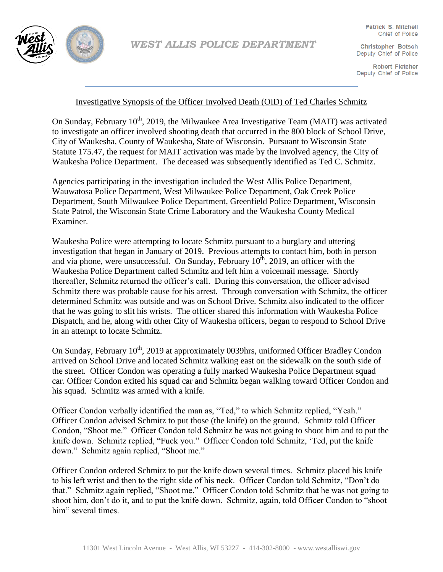

**Christopher Botsch** Deputy Chief of Police

**Robert Fletcher** Deputy Chief of Police

## Investigative Synopsis of the Officer Involved Death (OID) of Ted Charles Schmitz

On Sunday, February  $10^{th}$ , 2019, the Milwaukee Area Investigative Team (MAIT) was activated to investigate an officer involved shooting death that occurred in the 800 block of School Drive, City of Waukesha, County of Waukesha, State of Wisconsin. Pursuant to Wisconsin State Statute 175.47, the request for MAIT activation was made by the involved agency, the City of Waukesha Police Department. The deceased was subsequently identified as Ted C. Schmitz.

Agencies participating in the investigation included the West Allis Police Department, Wauwatosa Police Department, West Milwaukee Police Department, Oak Creek Police Department, South Milwaukee Police Department, Greenfield Police Department, Wisconsin State Patrol, the Wisconsin State Crime Laboratory and the Waukesha County Medical Examiner.

Waukesha Police were attempting to locate Schmitz pursuant to a burglary and uttering investigation that began in January of 2019. Previous attempts to contact him, both in person and via phone, were unsuccessful. On Sunday, February  $10^{\text{th}}$ , 2019, an officer with the Waukesha Police Department called Schmitz and left him a voicemail message. Shortly thereafter, Schmitz returned the officer's call. During this conversation, the officer advised Schmitz there was probable cause for his arrest. Through conversation with Schmitz, the officer determined Schmitz was outside and was on School Drive. Schmitz also indicated to the officer that he was going to slit his wrists. The officer shared this information with Waukesha Police Dispatch, and he, along with other City of Waukesha officers, began to respond to School Drive in an attempt to locate Schmitz.

On Sunday, February 10<sup>th</sup>, 2019 at approximately 0039hrs, uniformed Officer Bradley Condon arrived on School Drive and located Schmitz walking east on the sidewalk on the south side of the street. Officer Condon was operating a fully marked Waukesha Police Department squad car. Officer Condon exited his squad car and Schmitz began walking toward Officer Condon and his squad. Schmitz was armed with a knife.

Officer Condon verbally identified the man as, "Ted," to which Schmitz replied, "Yeah." Officer Condon advised Schmitz to put those (the knife) on the ground. Schmitz told Officer Condon, "Shoot me." Officer Condon told Schmitz he was not going to shoot him and to put the knife down. Schmitz replied, "Fuck you." Officer Condon told Schmitz, 'Ted, put the knife down." Schmitz again replied, "Shoot me."

Officer Condon ordered Schmitz to put the knife down several times. Schmitz placed his knife to his left wrist and then to the right side of his neck. Officer Condon told Schmitz, "Don't do that." Schmitz again replied, "Shoot me." Officer Condon told Schmitz that he was not going to shoot him, don't do it, and to put the knife down. Schmitz, again, told Officer Condon to "shoot him" several times.